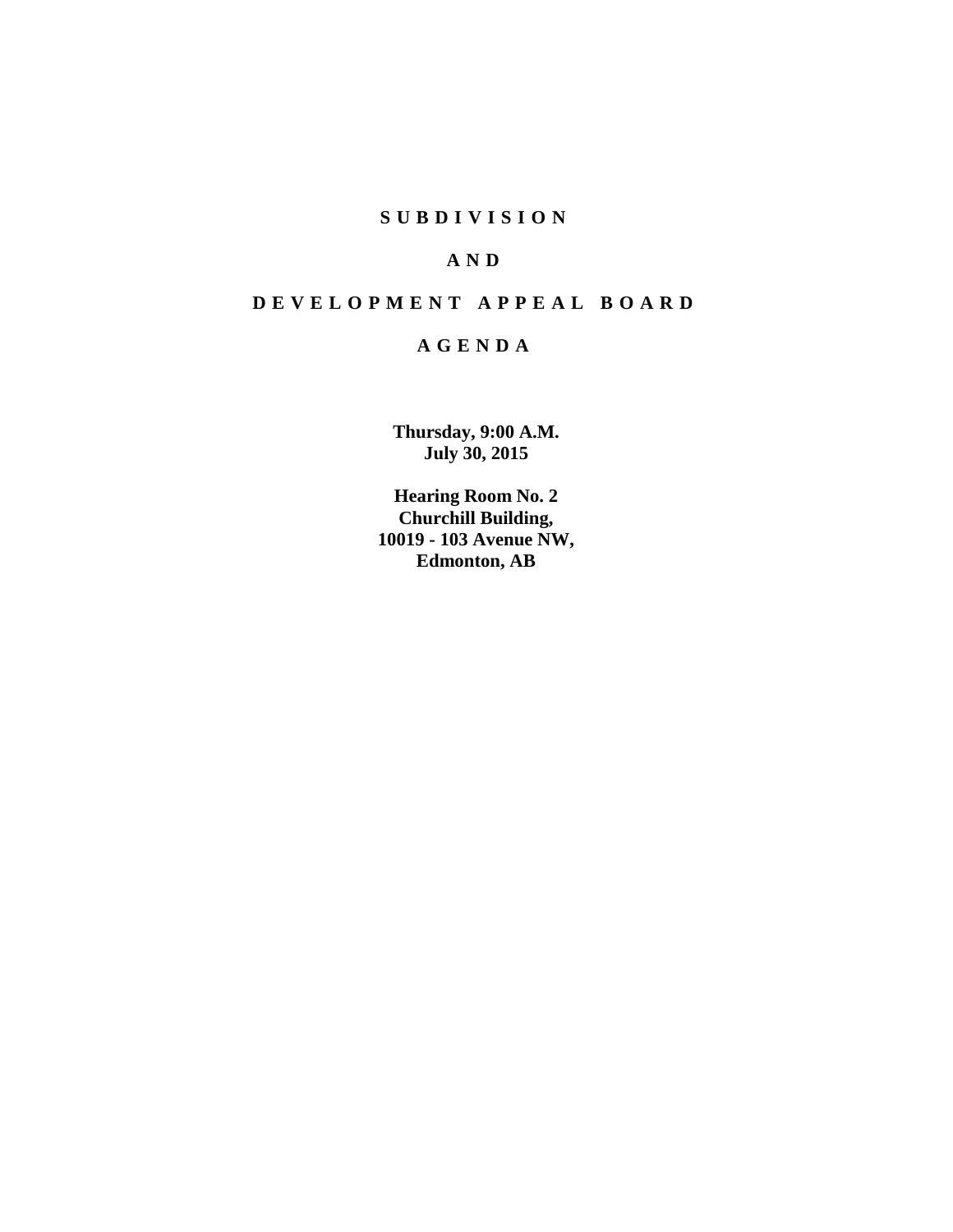## **S U B D I V I S I O N**

## **A N D**

# **D E V E L O P M E N T A P P E A L B O A R D**

## **A G E N D A**

**Thursday, 9:00 A.M. July 30, 2015**

**Hearing Room No. 2 Churchill Building, 10019 - 103 Avenue NW, Edmonton, AB**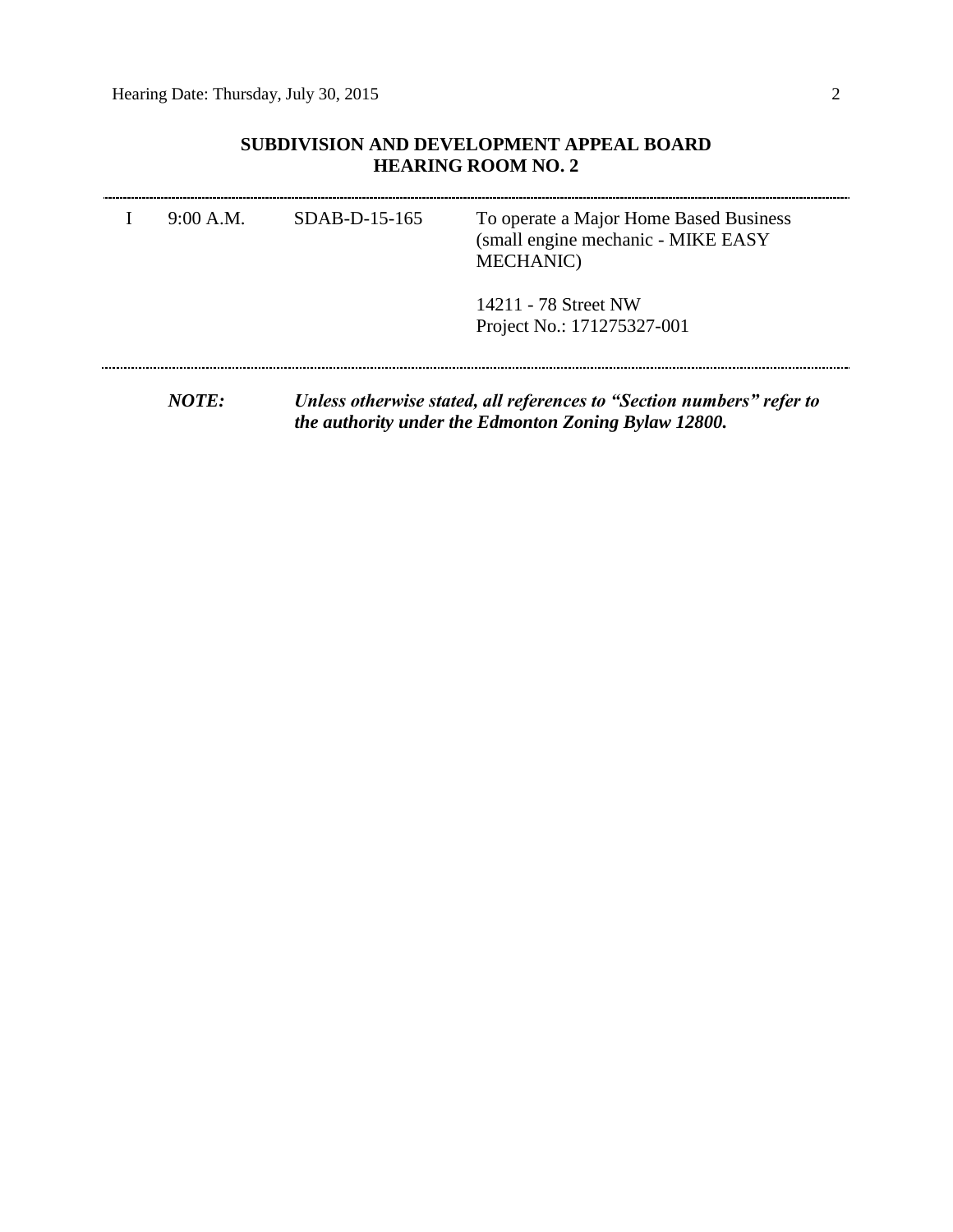## **SUBDIVISION AND DEVELOPMENT APPEAL BOARD HEARING ROOM NO. 2**

| 9:00 A.M. | $SDAB-D-15-165$ | To operate a Major Home Based Business<br>(small engine mechanic - MIKE EASY<br><b>MECHANIC</b> ) |
|-----------|-----------------|---------------------------------------------------------------------------------------------------|
|           |                 | 14211 - 78 Street NW<br>Project No.: 171275327-001                                                |
|           |                 |                                                                                                   |

*NOTE: Unless otherwise stated, all references to "Section numbers" refer to the authority under the Edmonton Zoning Bylaw 12800.*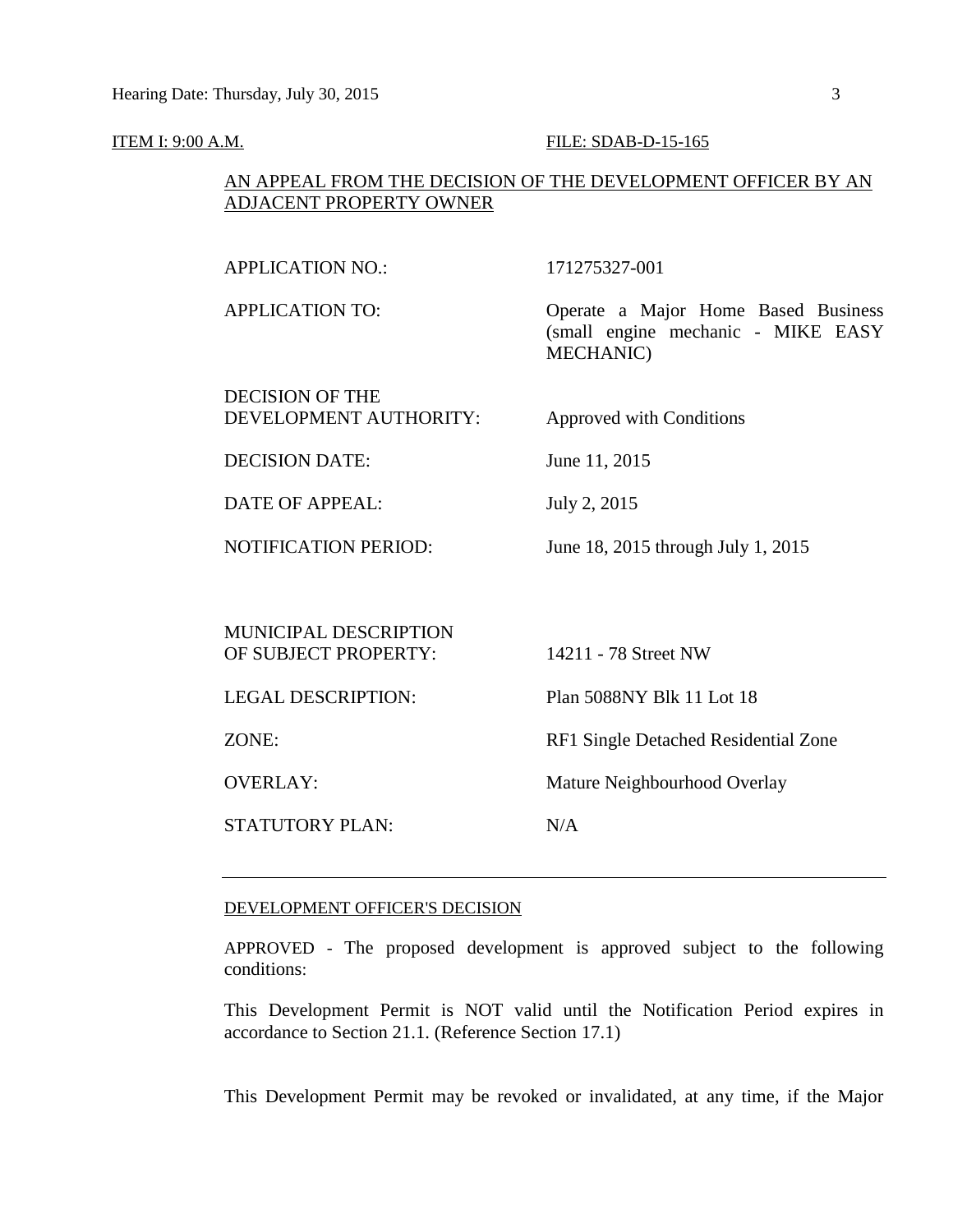#### ITEM I: 9:00 A.M. **FILE: SDAB-D-15-165**

### AN APPEAL FROM THE DECISION OF THE DEVELOPMENT OFFICER BY AN ADJACENT PROPERTY OWNER

| <b>APPLICATION NO.:</b>                              | 171275327-001                                                                                 |
|------------------------------------------------------|-----------------------------------------------------------------------------------------------|
| <b>APPLICATION TO:</b>                               | Operate a Major Home Based Business<br>(small engine mechanic - MIKE EASY<br><b>MECHANIC)</b> |
| <b>DECISION OF THE</b><br>DEVELOPMENT AUTHORITY:     | <b>Approved with Conditions</b>                                                               |
| <b>DECISION DATE:</b>                                | June 11, 2015                                                                                 |
| <b>DATE OF APPEAL:</b>                               | July 2, 2015                                                                                  |
| <b>NOTIFICATION PERIOD:</b>                          | June 18, 2015 through July 1, 2015                                                            |
|                                                      |                                                                                               |
| <b>MUNICIPAL DESCRIPTION</b><br>OF SUBJECT PROPERTY: | 14211 - 78 Street NW                                                                          |
| <b>LEGAL DESCRIPTION:</b>                            | Plan 5088NY Blk 11 Lot 18                                                                     |
| ZONE:                                                | RF1 Single Detached Residential Zone                                                          |
| <b>OVERLAY:</b>                                      | Mature Neighbourhood Overlay                                                                  |
| <b>STATUTORY PLAN:</b>                               | N/A                                                                                           |
|                                                      |                                                                                               |

#### DEVELOPMENT OFFICER'S DECISION

APPROVED - The proposed development is approved subject to the following conditions:

This Development Permit is NOT valid until the Notification Period expires in accordance to Section 21.1. (Reference Section 17.1)

This Development Permit may be revoked or invalidated, at any time, if the Major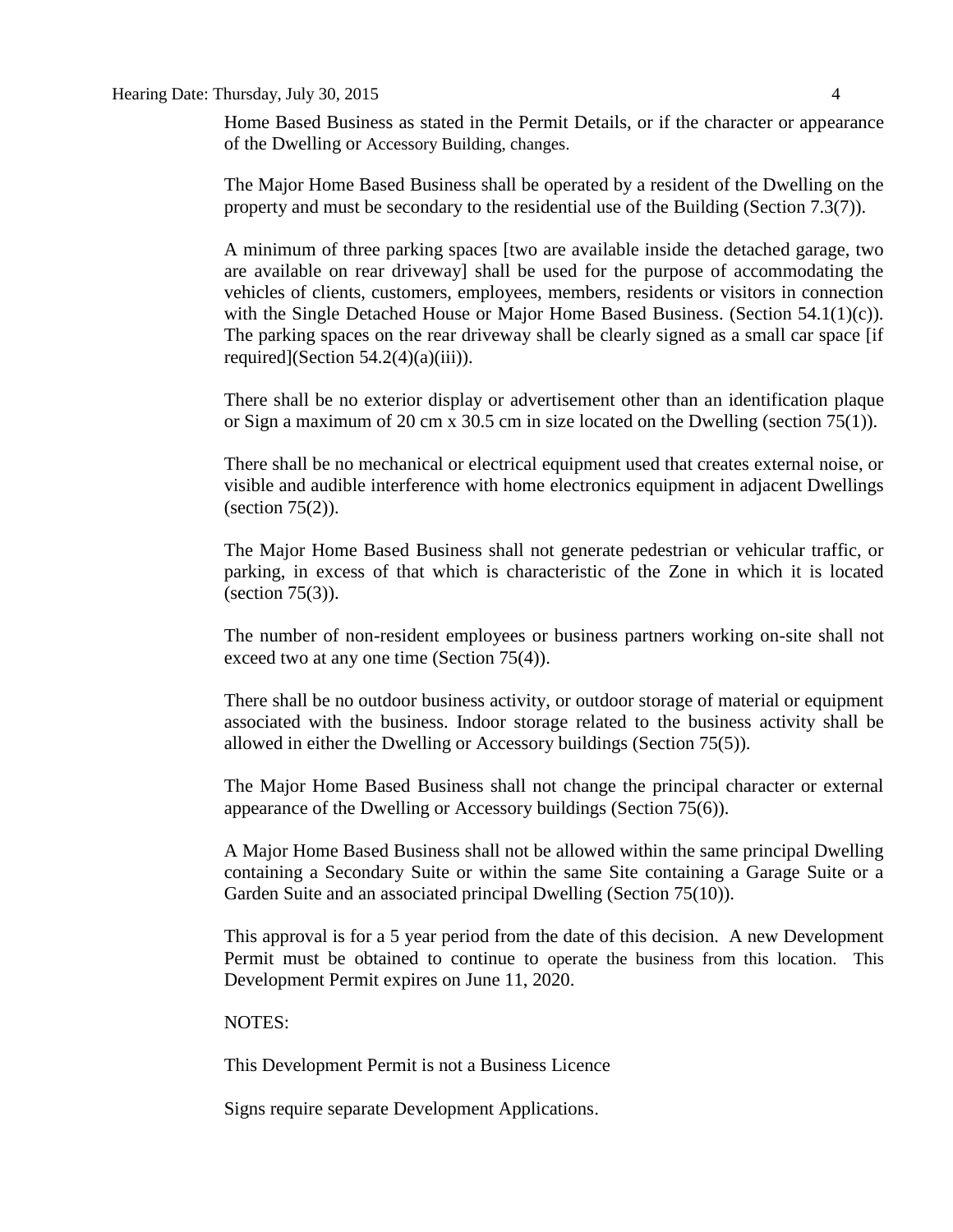#### Hearing Date: Thursday, July 30, 2015 4

Home Based Business as stated in the Permit Details, or if the character or appearance of the Dwelling or Accessory Building, changes.

The Major Home Based Business shall be operated by a resident of the Dwelling on the property and must be secondary to the residential use of the Building (Section 7.3(7)).

A minimum of three parking spaces [two are available inside the detached garage, two are available on rear driveway] shall be used for the purpose of accommodating the vehicles of clients, customers, employees, members, residents or visitors in connection with the Single Detached House or Major Home Based Business. (Section 54.1(1)(c)). The parking spaces on the rear driveway shall be clearly signed as a small car space [if required](Section  $54.2(4)(a)(iii)$ ).

There shall be no exterior display or advertisement other than an identification plaque or Sign a maximum of 20 cm x 30.5 cm in size located on the Dwelling (section 75(1)).

There shall be no mechanical or electrical equipment used that creates external noise, or visible and audible interference with home electronics equipment in adjacent Dwellings (section 75(2)).

The Major Home Based Business shall not generate pedestrian or vehicular traffic, or parking, in excess of that which is characteristic of the Zone in which it is located (section 75(3)).

The number of non-resident employees or business partners working on-site shall not exceed two at any one time (Section 75(4)).

There shall be no outdoor business activity, or outdoor storage of material or equipment associated with the business. Indoor storage related to the business activity shall be allowed in either the Dwelling or Accessory buildings (Section 75(5)).

The Major Home Based Business shall not change the principal character or external appearance of the Dwelling or Accessory buildings (Section 75(6)).

A Major Home Based Business shall not be allowed within the same principal Dwelling containing a Secondary Suite or within the same Site containing a Garage Suite or a Garden Suite and an associated principal Dwelling (Section 75(10)).

This approval is for a 5 year period from the date of this decision. A new Development Permit must be obtained to continue to operate the business from this location. This Development Permit expires on June 11, 2020.

#### NOTES:

This Development Permit is not a Business Licence

Signs require separate Development Applications.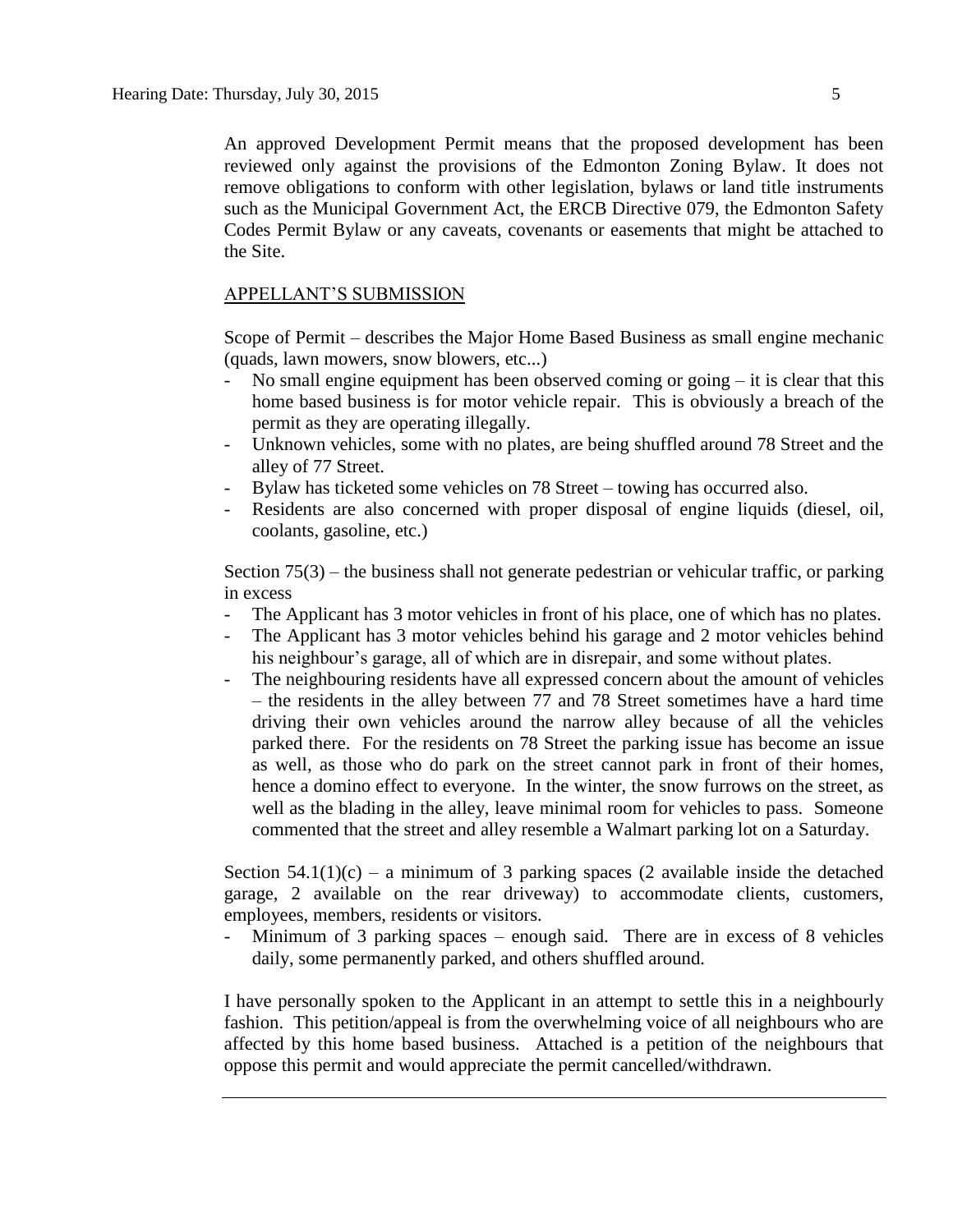An approved Development Permit means that the proposed development has been reviewed only against the provisions of the Edmonton Zoning Bylaw. It does not remove obligations to conform with other legislation, bylaws or land title instruments such as the Municipal Government Act, the ERCB Directive 079, the Edmonton Safety Codes Permit Bylaw or any caveats, covenants or easements that might be attached to the Site.

#### APPELLANT'S SUBMISSION

Scope of Permit – describes the Major Home Based Business as small engine mechanic (quads, lawn mowers, snow blowers, etc...)

- No small engine equipment has been observed coming or going  $-$  it is clear that this home based business is for motor vehicle repair. This is obviously a breach of the permit as they are operating illegally.
- Unknown vehicles, some with no plates, are being shuffled around 78 Street and the alley of 77 Street.
- Bylaw has ticketed some vehicles on 78 Street towing has occurred also.
- Residents are also concerned with proper disposal of engine liquids (diesel, oil, coolants, gasoline, etc.)

Section 75(3) – the business shall not generate pedestrian or vehicular traffic, or parking in excess

- The Applicant has 3 motor vehicles in front of his place, one of which has no plates.
- The Applicant has 3 motor vehicles behind his garage and 2 motor vehicles behind his neighbour's garage, all of which are in disrepair, and some without plates.
- The neighbouring residents have all expressed concern about the amount of vehicles – the residents in the alley between 77 and 78 Street sometimes have a hard time driving their own vehicles around the narrow alley because of all the vehicles parked there. For the residents on 78 Street the parking issue has become an issue as well, as those who do park on the street cannot park in front of their homes, hence a domino effect to everyone. In the winter, the snow furrows on the street, as well as the blading in the alley, leave minimal room for vehicles to pass. Someone commented that the street and alley resemble a Walmart parking lot on a Saturday.

Section  $54.1(1)(c)$  – a minimum of 3 parking spaces (2 available inside the detached garage, 2 available on the rear driveway) to accommodate clients, customers, employees, members, residents or visitors.

Minimum of 3 parking spaces – enough said. There are in excess of 8 vehicles daily, some permanently parked, and others shuffled around.

I have personally spoken to the Applicant in an attempt to settle this in a neighbourly fashion. This petition/appeal is from the overwhelming voice of all neighbours who are affected by this home based business. Attached is a petition of the neighbours that oppose this permit and would appreciate the permit cancelled/withdrawn.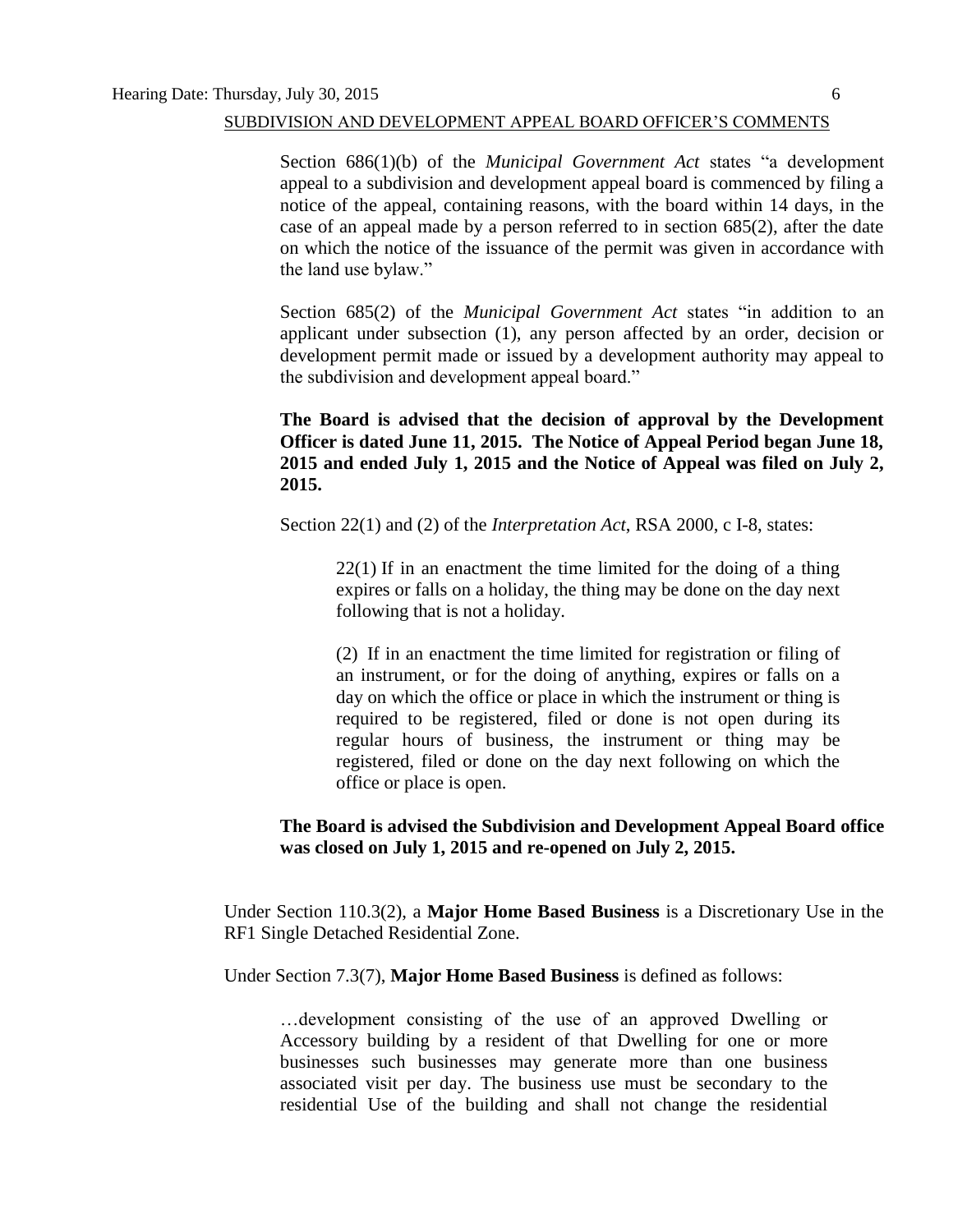#### SUBDIVISION AND DEVELOPMENT APPEAL BOARD OFFICER'S COMMENTS

Section 686(1)(b) of the *Municipal Government Act* states "a development appeal to a subdivision and development appeal board is commenced by filing a notice of the appeal, containing reasons, with the board within 14 days, in the case of an appeal made by a person referred to in section 685(2), after the date on which the notice of the issuance of the permit was given in accordance with the land use bylaw."

Section 685(2) of the *Municipal Government Act* states "in addition to an applicant under subsection (1), any person affected by an order, decision or development permit made or issued by a development authority may appeal to the subdivision and development appeal board."

**The Board is advised that the decision of approval by the Development Officer is dated June 11, 2015. The Notice of Appeal Period began June 18, 2015 and ended July 1, 2015 and the Notice of Appeal was filed on July 2, 2015.** 

Section 22(1) and (2) of the *Interpretation Act*, RSA 2000, c I-8, states:

22(1) If in an enactment the time limited for the doing of a thing expires or falls on a holiday, the thing may be done on the day next following that is not a holiday.

(2) If in an enactment the time limited for registration or filing of an instrument, or for the doing of anything, expires or falls on a day on which the office or place in which the instrument or thing is required to be registered, filed or done is not open during its regular hours of business, the instrument or thing may be registered, filed or done on the day next following on which the office or place is open.

### **The Board is advised the Subdivision and Development Appeal Board office was closed on July 1, 2015 and re-opened on July 2, 2015.**

Under Section 110.3(2), a **Major Home Based Business** is a Discretionary Use in the RF1 Single Detached Residential Zone.

Under Section 7.3(7), **Major Home Based Business** is defined as follows:

…development consisting of the use of an approved Dwelling or Accessory building by a resident of that Dwelling for one or more businesses such businesses may generate more than one business associated visit per day. The business use must be secondary to the residential Use of the building and shall not change the residential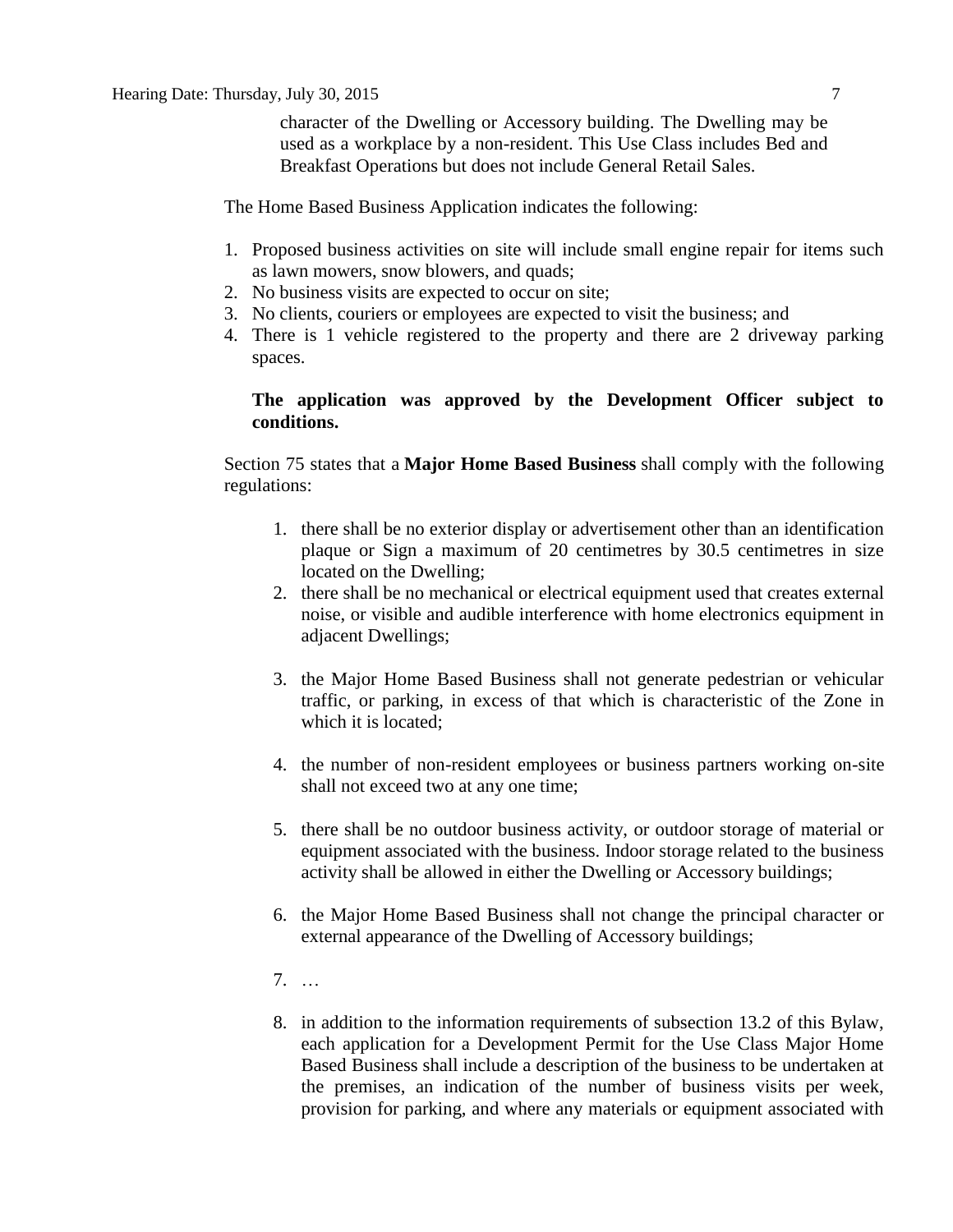character of the Dwelling or Accessory building. The Dwelling may be used as a workplace by a non-resident. This Use Class includes Bed and Breakfast Operations but does not include General Retail Sales.

The Home Based Business Application indicates the following:

- 1. Proposed business activities on site will include small engine repair for items such as lawn mowers, snow blowers, and quads;
- 2. No business visits are expected to occur on site;
- 3. No clients, couriers or employees are expected to visit the business; and
- 4. There is 1 vehicle registered to the property and there are 2 driveway parking spaces.

### **The application was approved by the Development Officer subject to conditions.**

Section 75 states that a **[Major Home Based Business](javascript:void(0);)** shall comply with the following regulations:

- 1. there shall be no exterior display or advertisement other than an identification plaque or Sign a maximum of 20 centimetres by 30.5 centimetres in size located on the Dwelling;
- 2. there shall be no mechanical or electrical equipment used that creates external noise, or visible and audible interference with home electronics equipment in adjacent Dwellings;
- 3. the Major Home Based Business shall not generate pedestrian or vehicular traffic, or parking, in excess of that which is characteristic of the Zone in which it is located;
- 4. the number of non-resident employees or business partners working on-site shall not exceed two at any one time;
- 5. there shall be no outdoor business activity, or outdoor storage of material or equipment associated with the business. Indoor storage related to the business activity shall be allowed in either the Dwelling or Accessory buildings;
- 6. the Major Home Based Business shall not change the principal character or external appearance of the Dwelling of Accessory buildings;
- 7. …
- 8. in addition to the information requirements of subsection 13.2 of this Bylaw, each application for a Development Permit for the Use Class Major Home Based Business shall include a description of the business to be undertaken at the premises, an indication of the number of business visits per week, provision for parking, and where any materials or equipment associated with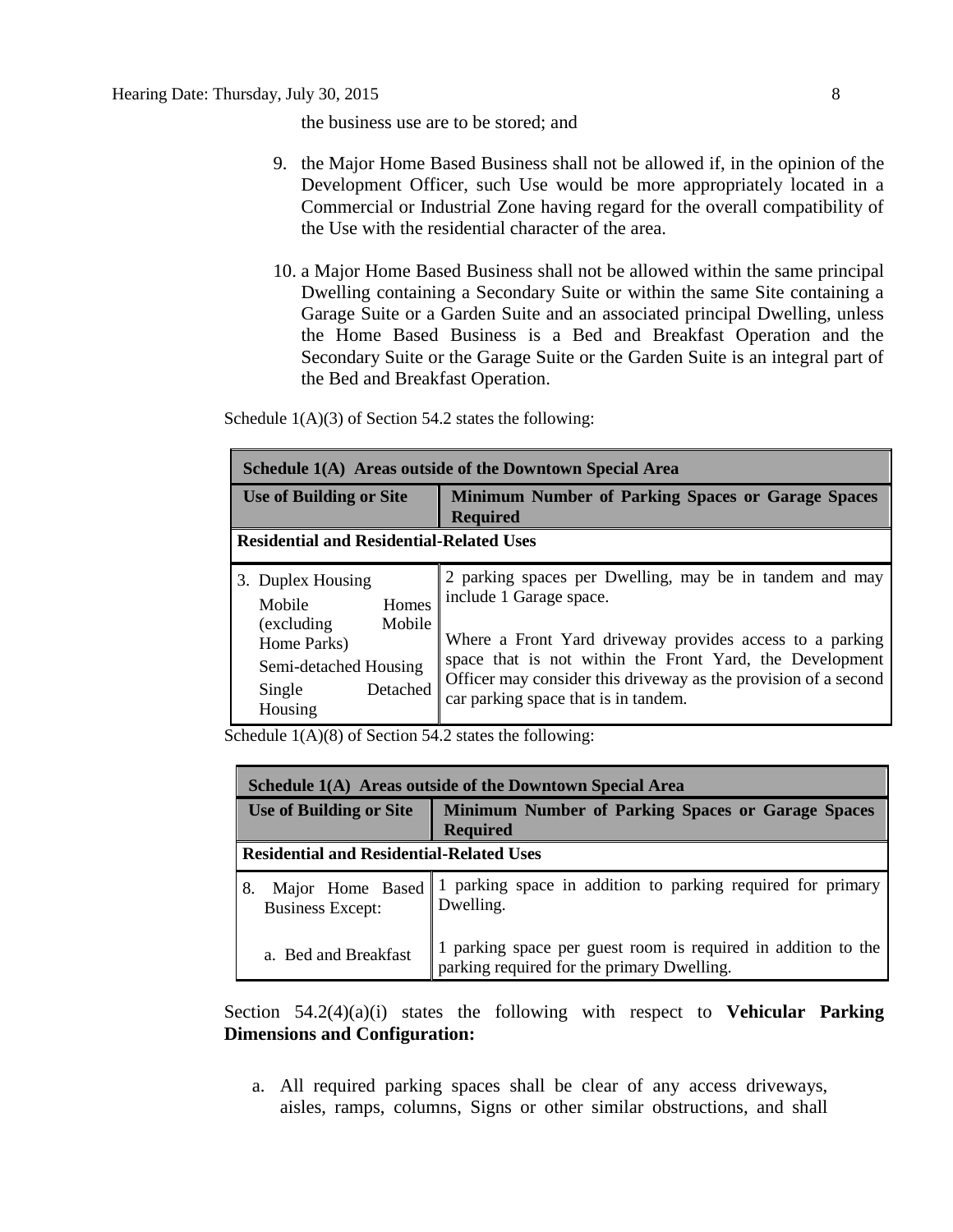the business use are to be stored; and

- 9. the Major Home Based Business shall not be allowed if, in the opinion of the Development Officer, such Use would be more appropriately located in a Commercial or Industrial Zone having regard for the overall compatibility of the Use with the residential character of the area.
- 10. a Major Home Based Business shall not be allowed within the same principal Dwelling containing a Secondary Suite or within the same Site containing a Garage Suite or a Garden Suite and an associated principal Dwelling, unless the Home Based Business is a Bed and Breakfast Operation and the Secondary Suite or the Garage Suite or the Garden Suite is an integral part of the Bed and Breakfast Operation.

Schedule  $1(A)(3)$  of Section 54.2 states the following:

| Schedule 1(A) Areas outside of the Downtown Special Area                                                                               |                                                                                                                                                                                                                                                                                                                       |  |  |  |  |  |  |
|----------------------------------------------------------------------------------------------------------------------------------------|-----------------------------------------------------------------------------------------------------------------------------------------------------------------------------------------------------------------------------------------------------------------------------------------------------------------------|--|--|--|--|--|--|
| <b>Use of Building or Site</b>                                                                                                         | <b>Minimum Number of Parking Spaces or Garage Spaces</b><br><b>Required</b>                                                                                                                                                                                                                                           |  |  |  |  |  |  |
| <b>Residential and Residential-Related Uses</b>                                                                                        |                                                                                                                                                                                                                                                                                                                       |  |  |  |  |  |  |
| 3. Duplex Housing<br>Homes<br>Mobile<br>Mobile<br>(excluding)<br>Home Parks)<br>Semi-detached Housing<br>Detached<br>Single<br>Housing | 2 parking spaces per Dwelling, may be in tandem and may<br>include 1 Garage space.<br>Where a Front Yard driveway provides access to a parking<br>space that is not within the Front Yard, the Development<br>Officer may consider this driveway as the provision of a second<br>car parking space that is in tandem. |  |  |  |  |  |  |

Schedule  $1(A)(8)$  of Section 54.2 states the following:

| Schedule 1(A) Areas outside of the Downtown Special Area |                                                                                                             |  |  |  |  |  |  |
|----------------------------------------------------------|-------------------------------------------------------------------------------------------------------------|--|--|--|--|--|--|
| <b>Use of Building or Site</b>                           | Minimum Number of Parking Spaces or Garage Spaces<br><b>Required</b>                                        |  |  |  |  |  |  |
| <b>Residential and Residential-Related Uses</b>          |                                                                                                             |  |  |  |  |  |  |
| Major Home Based<br>8.<br><b>Business Except:</b>        | 1 parking space in addition to parking required for primary<br>Dwelling.                                    |  |  |  |  |  |  |
| a. Bed and Breakfast                                     | 1 parking space per guest room is required in addition to the<br>parking required for the primary Dwelling. |  |  |  |  |  |  |

Section 54.2(4)(a)(i) states the following with respect to **Vehicular Parking Dimensions and Configuration:** 

a. All required parking spaces shall be clear of any access driveways, aisles, ramps, columns, Signs or other similar obstructions, and shall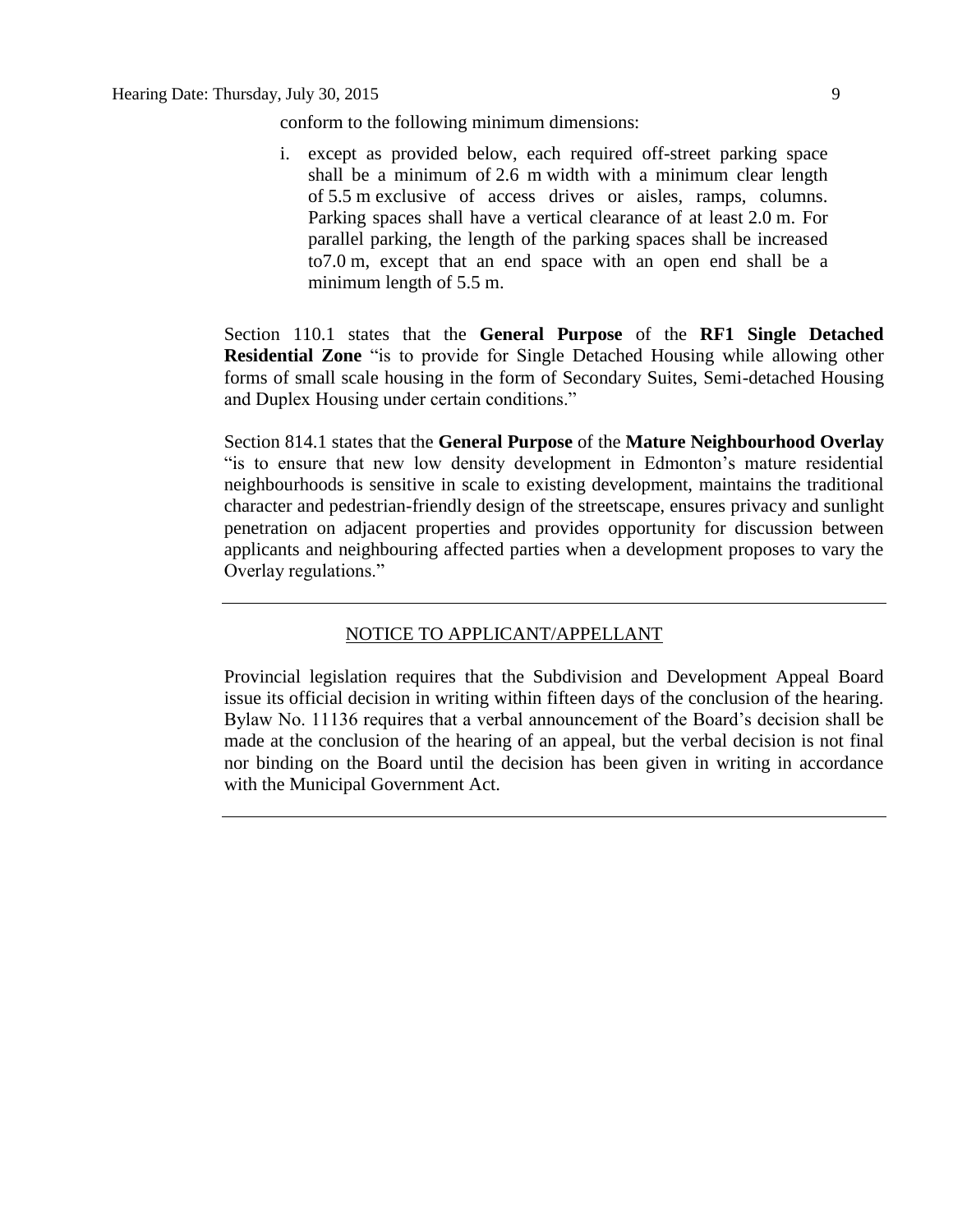conform to the following minimum dimensions:

i. except as provided below, each required off-street parking space shall be a minimum of 2.6 m width with a minimum clear length of 5.5 m exclusive of access drives or aisles, ramps, columns. Parking spaces shall have a vertical clearance of at least 2.0 m. For parallel parking, the length of the parking spaces shall be increased to7.0 m, except that an end space with an open end shall be a minimum length of 5.5 m.

Section 110.1 states that the **General Purpose** of the **RF1 Single Detached Residential Zone** "is to provide for Single Detached Housing while allowing other forms of small scale housing in the form of Secondary Suites, Semi-detached Housing and Duplex Housing under certain conditions."

Section 814.1 states that the **General Purpose** of the **Mature Neighbourhood Overlay** "is to ensure that new low density development in Edmonton's mature residential neighbourhoods is sensitive in scale to existing development, maintains the traditional character and pedestrian-friendly design of the streetscape, ensures privacy and sunlight penetration on adjacent properties and provides opportunity for discussion between applicants and neighbouring affected parties when a development proposes to vary the Overlay regulations."

#### NOTICE TO APPLICANT/APPELLANT

Provincial legislation requires that the Subdivision and Development Appeal Board issue its official decision in writing within fifteen days of the conclusion of the hearing. Bylaw No. 11136 requires that a verbal announcement of the Board's decision shall be made at the conclusion of the hearing of an appeal, but the verbal decision is not final nor binding on the Board until the decision has been given in writing in accordance with the Municipal Government Act.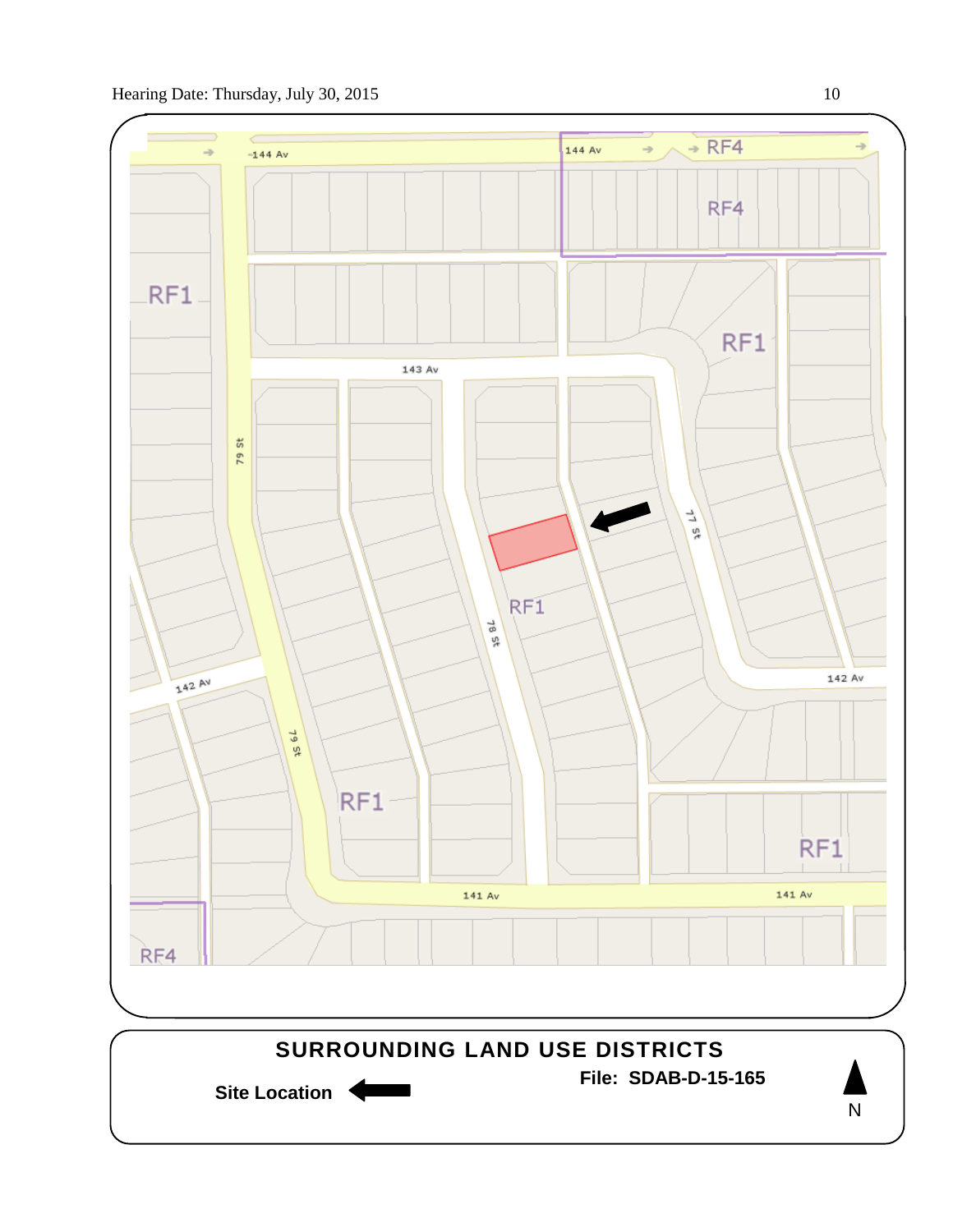